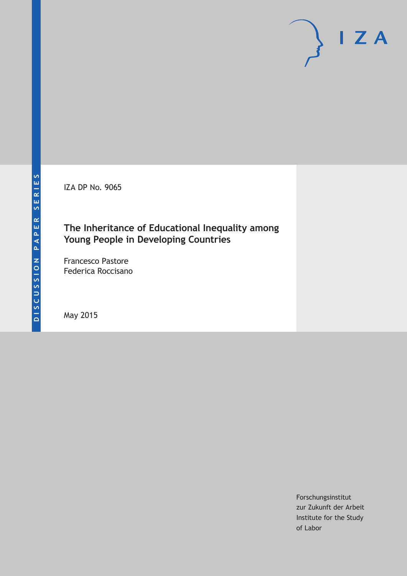IZA DP No. 9065

## **The Inheritance of Educational Inequality among Young People in Developing Countries**

Francesco Pastore Federica Roccisano

May 2015

Forschungsinstitut zur Zukunft der Arbeit Institute for the Study of Labor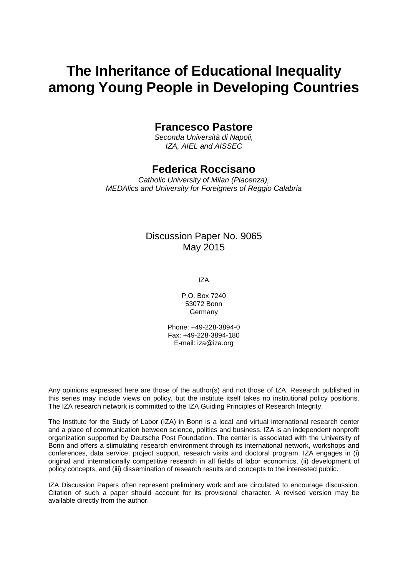# **The Inheritance of Educational Inequality among Young People in Developing Countries**

## **Francesco Pastore**

*Seconda Università di Napoli, IZA, AIEL and AISSEC*

## **Federica Roccisano**

*Catholic University of Milan (Piacenza), MEDAlics and University for Foreigners of Reggio Calabria*

## Discussion Paper No. 9065 May 2015

IZA

P.O. Box 7240 53072 Bonn Germany

Phone: +49-228-3894-0 Fax: +49-228-3894-180 E-mail: iza@iza.org

Any opinions expressed here are those of the author(s) and not those of IZA. Research published in this series may include views on policy, but the institute itself takes no institutional policy positions. The IZA research network is committed to the IZA Guiding Principles of Research Integrity.

The Institute for the Study of Labor (IZA) in Bonn is a local and virtual international research center and a place of communication between science, politics and business. IZA is an independent nonprofit organization supported by Deutsche Post Foundation. The center is associated with the University of Bonn and offers a stimulating research environment through its international network, workshops and conferences, data service, project support, research visits and doctoral program. IZA engages in (i) original and internationally competitive research in all fields of labor economics, (ii) development of policy concepts, and (iii) dissemination of research results and concepts to the interested public.

IZA Discussion Papers often represent preliminary work and are circulated to encourage discussion. Citation of such a paper should account for its provisional character. A revised version may be available directly from the author.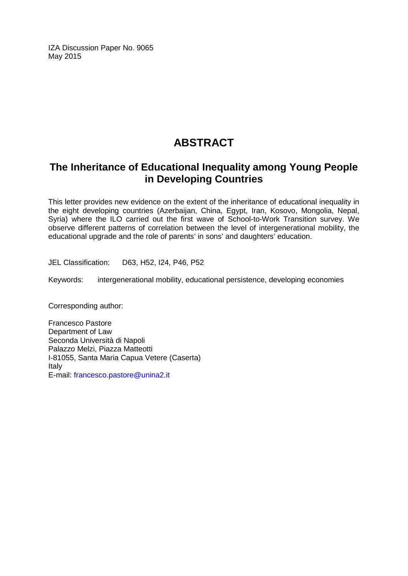IZA Discussion Paper No. 9065 May 2015

## **ABSTRACT**

## **The Inheritance of Educational Inequality among Young People in Developing Countries**

This letter provides new evidence on the extent of the inheritance of educational inequality in the eight developing countries (Azerbaijan, China, Egypt, Iran, Kosovo, Mongolia, Nepal, Syria) where the ILO carried out the first wave of School-to-Work Transition survey. We observe different patterns of correlation between the level of intergenerational mobility, the educational upgrade and the role of parents' in sons' and daughters' education.

JEL Classification: D63, H52, I24, P46, P52

Keywords: intergenerational mobility, educational persistence, developing economies

Corresponding author:

Francesco Pastore Department of Law Seconda Università di Napoli Palazzo Melzi, Piazza Matteotti I-81055, Santa Maria Capua Vetere (Caserta) Italy E-mail: [francesco.pastore@unina2.it](mailto:francesco.pastore@unina2.it)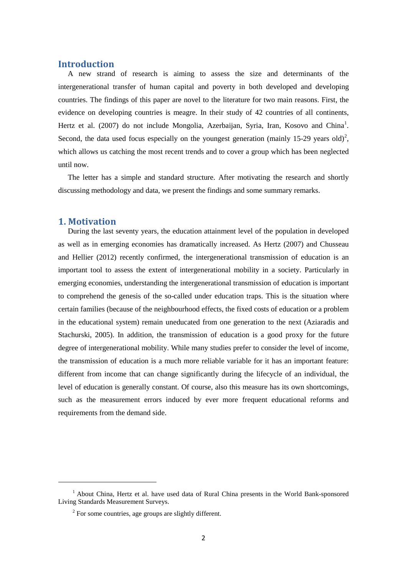#### **Introduction**

A new strand of research is aiming to assess the size and determinants of the intergenerational transfer of human capital and poverty in both developed and developing countries. The findings of this paper are novel to the literature for two main reasons. First, the evidence on developing countries is meagre. In their study of 42 countries of all continents, Hertz et al. (2007) do not include Mongolia, Azerbaijan, Syria, Iran, Kosovo and China<sup>1</sup>. Second, the data used focus especially on the youngest generation (mainly 15-[2](#page-3-0)9 years old)<sup>2</sup>, which allows us catching the most recent trends and to cover a group which has been neglected until now.

The letter has a simple and standard structure. After motivating the research and shortly discussing methodology and data, we present the findings and some summary remarks.

#### **1. Motivation**

**.** 

During the last seventy years, the education attainment level of the population in developed as well as in emerging economies has dramatically increased. As Hertz (2007) and Chusseau and Hellier (2012) recently confirmed, the intergenerational transmission of education is an important tool to assess the extent of intergenerational mobility in a society. Particularly in emerging economies, understanding the intergenerational transmission of education is important to comprehend the genesis of the so-called under education traps. This is the situation where certain families (because of the neighbourhood effects, the fixed costs of education or a problem in the educational system) remain uneducated from one generation to the next (Aziaradis and Stachurski, 2005). In addition, the transmission of education is a good proxy for the future degree of intergenerational mobility. While many studies prefer to consider the level of income, the transmission of education is a much more reliable variable for it has an important feature: different from income that can change significantly during the lifecycle of an individual, the level of education is generally constant. Of course, also this measure has its own shortcomings, such as the measurement errors induced by ever more frequent educational reforms and requirements from the demand side.

<span id="page-3-1"></span><span id="page-3-0"></span><sup>&</sup>lt;sup>1</sup> About China, Hertz et al. have used data of Rural China presents in the World Bank-sponsored Living Standards Measurement Surveys.

 $2$  For some countries, age groups are slightly different.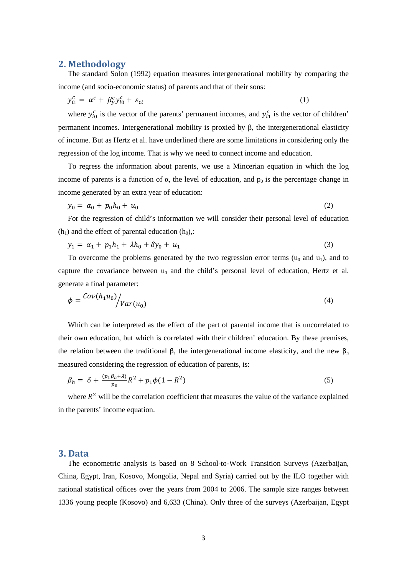#### **2. Methodology**

The standard Solon (1992) equation measures intergenerational mobility by comparing the income (and socio-economic status) of parents and that of their sons:

$$
y_{i1}^c = \alpha^c + \beta_y^c y_{i0}^c + \varepsilon_{ci} \tag{1}
$$

where  $y_{i0}^c$  is the vector of the parents' permanent incomes, and  $y_{i1}^c$  is the vector of children' permanent incomes. Intergenerational mobility is proxied by β, the intergenerational elasticity of income. But as Hertz et al. have underlined there are some limitations in considering only the regression of the log income. That is why we need to connect income and education.

To regress the information about parents, we use a Mincerian equation in which the log income of parents is a function of  $\alpha$ , the level of education, and  $p_0$  is the percentage change in income generated by an extra year of education:

$$
y_0 = a_0 + p_0 h_0 + u_0 \tag{2}
$$

For the regression of child's information we will consider their personal level of education  $(h_1)$  and the effect of parental education  $(h_0)$ ,:

$$
y_1 = \alpha_1 + p_1 h_1 + \lambda h_0 + \delta y_0 + u_1 \tag{3}
$$

To overcome the problems generated by the two regression error terms  $(u_0$  and  $u_1)$ , and to capture the covariance between  $u_0$  and the child's personal level of education, Hertz et al. generate a final parameter:

$$
\phi = \frac{Cov(h_1 u_0)}{Var(u_0)} \tag{4}
$$

Which can be interpreted as the effect of the part of parental income that is uncorrelated to their own education, but which is correlated with their children' education. By these premises, the relation between the traditional  $\beta$ , the intergenerational income elasticity, and the new  $\beta_h$ measured considering the regression of education of parents, is:

$$
\beta_h = \delta + \frac{(p_1 \beta_h + \lambda)}{p_0} R^2 + p_1 \phi (1 - R^2) \tag{5}
$$

where  $R<sup>2</sup>$  will be the correlation coefficient that measures the value of the variance explained in the parents' income equation.

#### **3. Data**

The econometric analysis is based on 8 School-to-Work Transition Surveys (Azerbaijan, China, Egypt, Iran, Kosovo, Mongolia, Nepal and Syria) carried out by the ILO together with national statistical offices over the years from 2004 to 2006. The sample size ranges between 1336 young people (Kosovo) and 6,633 (China). Only three of the surveys (Azerbaijan, Egypt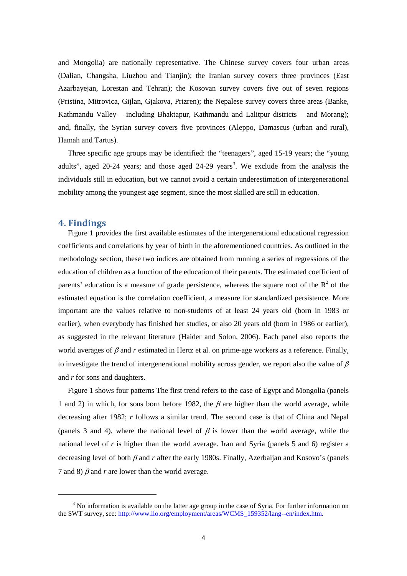and Mongolia) are nationally representative. The Chinese survey covers four urban areas (Dalian, Changsha, Liuzhou and Tianjin); the Iranian survey covers three provinces (East Azarbayejan, Lorestan and Tehran); the Kosovan survey covers five out of seven regions (Pristina, Mitrovica, Gijlan, Gjakova, Prizren); the Nepalese survey covers three areas (Banke, Kathmandu Valley – including Bhaktapur, Kathmandu and Lalitpur districts – and Morang); and, finally, the Syrian survey covers five provinces (Aleppo, Damascus (urban and rural), Hamah and Tartus).

Three specific age groups may be identified: the "teenagers", aged 15-19 years; the "young adults", aged 20-24 years; and those aged 24-29 years<sup>[3](#page-3-1)</sup>. We exclude from the analysis the individuals still in education, but we cannot avoid a certain underestimation of intergenerational mobility among the youngest age segment, since the most skilled are still in education.

#### **4. Findings**

<span id="page-5-0"></span>**.** 

Figure 1 provides the first available estimates of the intergenerational educational regression coefficients and correlations by year of birth in the aforementioned countries. As outlined in the methodology section, these two indices are obtained from running a series of regressions of the education of children as a function of the education of their parents. The estimated coefficient of parents' education is a measure of grade persistence, whereas the square root of the  $R<sup>2</sup>$  of the estimated equation is the correlation coefficient, a measure for standardized persistence. More important are the values relative to non-students of at least 24 years old (born in 1983 or earlier), when everybody has finished her studies, or also 20 years old (born in 1986 or earlier), as suggested in the relevant literature (Haider and Solon, 2006). Each panel also reports the world averages of  $\beta$  and  $r$  estimated in Hertz et al. on prime-age workers as a reference. Finally, to investigate the trend of intergenerational mobility across gender, we report also the value of  $\beta$ and *r* for sons and daughters.

Figure 1 shows four patterns The first trend refers to the case of Egypt and Mongolia (panels 1 and 2) in which, for sons born before 1982, the  $\beta$  are higher than the world average, while decreasing after 1982; *r* follows a similar trend. The second case is that of China and Nepal (panels 3 and 4), where the national level of  $\beta$  is lower than the world average, while the national level of *r* is higher than the world average. Iran and Syria (panels 5 and 6) register a decreasing level of both β and *r* after the early 1980s. Finally, Azerbaijan and Kosovo's (panels 7 and 8)  $\beta$  and *r* are lower than the world average.

 $3$  No information is available on the latter age group in the case of Syria. For further information on the SWT survey, see: [http://www.ilo.org/employment/areas/WCMS\\_159352/lang--en/index.htm.](http://www.ilo.org/employment/areas/WCMS_159352/lang--en/index.htm)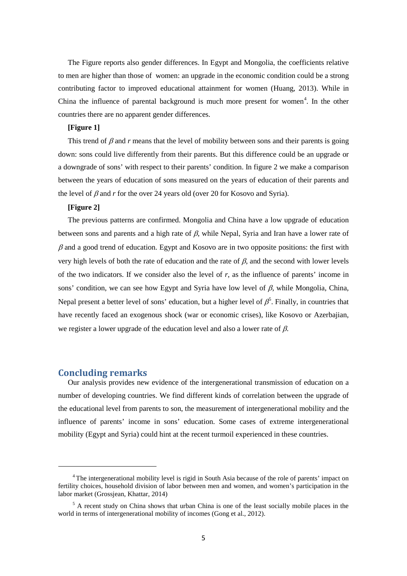The Figure reports also gender differences. In Egypt and Mongolia, the coefficients relative to men are higher than those of women: an upgrade in the economic condition could be a strong contributing factor to improved educational attainment for women (Huang, 2013). While in China the influence of parental background is much more present for women<sup>[4](#page-5-0)</sup>. In the other countries there are no apparent gender differences.

#### **[Figure 1]**

This trend of  $\beta$  and  $r$  means that the level of mobility between sons and their parents is going down: sons could live differently from their parents. But this difference could be an upgrade or a downgrade of sons' with respect to their parents' condition. In figure 2 we make a comparison between the years of education of sons measured on the years of education of their parents and the level of  $\beta$  and r for the over 24 years old (over 20 for Kosovo and Syria).

#### **[Figure 2]**

The previous patterns are confirmed. Mongolia and China have a low upgrade of education between sons and parents and a high rate of  $\beta$ , while Nepal, Syria and Iran have a lower rate of  $\beta$  and a good trend of education. Egypt and Kosovo are in two opposite positions: the first with very high levels of both the rate of education and the rate of  $\beta$ , and the second with lower levels of the two indicators. If we consider also the level of *r*, as the influence of parents' income in sons' condition, we can see how Egypt and Syria have low level of  $\beta$ , while Mongolia, China, Nepal present a better level of sons' education, but a higher level of  $\beta^5$  $\beta^5$ . Finally, in countries that have recently faced an exogenous shock (war or economic crises), like Kosovo or Azerbajian, we register a lower upgrade of the education level and also a lower rate of  $\beta$ .

#### **Concluding remarks**

**.** 

Our analysis provides new evidence of the intergenerational transmission of education on a number of developing countries. We find different kinds of correlation between the upgrade of the educational level from parents to son, the measurement of intergenerational mobility and the influence of parents' income in sons' education. Some cases of extreme intergenerational mobility (Egypt and Syria) could hint at the recent turmoil experienced in these countries.

<sup>4</sup> The intergenerational mobility level is rigid in South Asia because of the role of parents' impact on fertility choices, household division of labor between men and women, and women's participation in the labor market (Grossjean, Khattar, 2014)

<span id="page-6-0"></span> $<sup>5</sup>$  A recent study on China shows that urban China is one of the least socially mobile places in the</sup> world in terms of intergenerational mobility of incomes (Gong et al., 2012).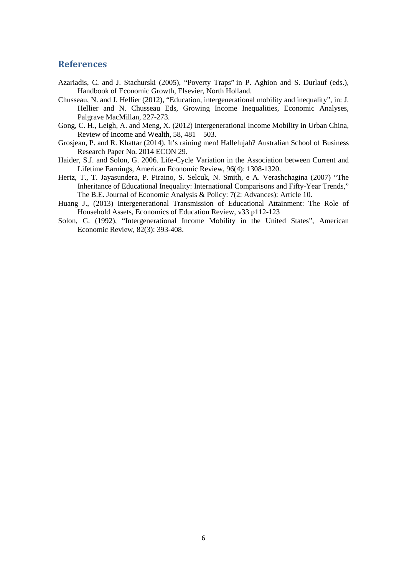#### **References**

- Azariadis, C. and J. Stachurski (2005), "Poverty Traps" in P. Aghion and S. Durlauf (eds.), Handbook of Economic Growth, Elsevier, North Holland.
- Chusseau, N. and J. Hellier (2012), "Education, intergenerational mobility and inequality", in: J. Hellier and N. Chusseau Eds, Growing Income Inequalities, Economic Analyses, Palgrave MacMillan, 227-273.
- Gong, C. H., Leigh, A. and Meng, X. (2012) Intergenerational Income Mobility in Urban China, Review of Income and Wealth, 58, 481 – 503.
- Grosjean, P. and R. Khattar (2014). It's raining men! Hallelujah? Australian School of Business Research Paper No. 2014 ECON 29.
- Haider, S.J. and Solon, G. 2006. Life-Cycle Variation in the Association between Current and Lifetime Earnings, American Economic Review, 96(4): 1308-1320.
- Hertz, T., T. Jayasundera, P. Piraino, S. Selcuk, N. Smith, e A. Verashchagina (2007) "The Inheritance of Educational Inequality: International Comparisons and Fifty-Year Trends," The B.E. Journal of Economic Analysis & Policy: 7(2: Advances): Article 10.
- Huang J., (2013) Intergenerational Transmission of Educational Attainment: The Role of Household Assets, Economics of Education Review, v33 p112-123
- Solon, G. (1992), "Intergenerational Income Mobility in the United States", American Economic Review, 82(3): 393-408.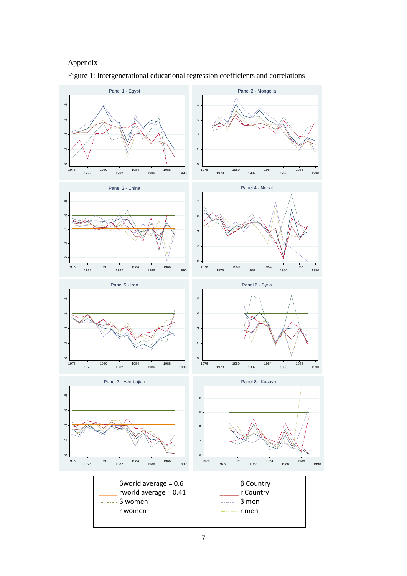#### Appendix



Figure 1: Intergenerational educational regression coefficients and correlations